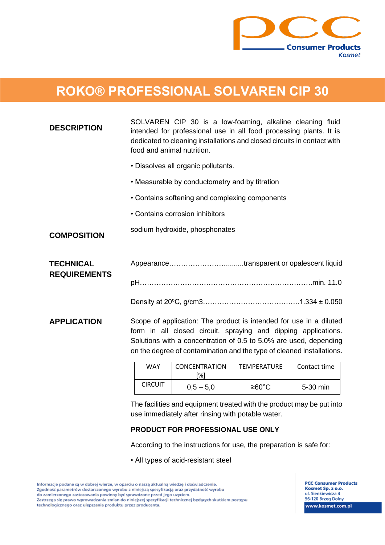

## **ROKO® PROFESSIONAL SOLVAREN CIP 30**

| <b>DESCRIPTION</b>                      | SOLVAREN CIP 30 is a low-foaming, alkaline cleaning fluid<br>intended for professional use in all food processing plants. It is<br>dedicated to cleaning installations and closed circuits in contact with<br>food and animal nutrition.                                                                                                                |  |  |
|-----------------------------------------|---------------------------------------------------------------------------------------------------------------------------------------------------------------------------------------------------------------------------------------------------------------------------------------------------------------------------------------------------------|--|--|
|                                         | · Dissolves all organic pollutants.                                                                                                                                                                                                                                                                                                                     |  |  |
|                                         | • Measurable by conductometry and by titration                                                                                                                                                                                                                                                                                                          |  |  |
|                                         | • Contains softening and complexing components                                                                                                                                                                                                                                                                                                          |  |  |
|                                         | • Contains corrosion inhibitors                                                                                                                                                                                                                                                                                                                         |  |  |
| <b>COMPOSITION</b>                      | sodium hydroxide, phosphonates                                                                                                                                                                                                                                                                                                                          |  |  |
| <b>TECHNICAL</b><br><b>REQUIREMENTS</b> | Appearancetransparent or opalescent liquid                                                                                                                                                                                                                                                                                                              |  |  |
|                                         |                                                                                                                                                                                                                                                                                                                                                         |  |  |
| <b>APPLICATION</b>                      | Scope of application: The product is intended for use in a diluted<br>form in all closed circuit, spraying and dipping applications.<br>Solutions with a concentration of 0.5 to 5.0% are used, depending<br>on the degree of contamination and the type of cleaned installations.<br><b>MAY</b><br>CONCENTRATION<br><b>TEMPERATURE</b><br>Contact time |  |  |

| WAY            | CONCENTRATION<br>'%`i | <b>TEMPERATURE</b> | Contact time |
|----------------|-----------------------|--------------------|--------------|
| <b>CIRCUIT</b> | $0.5 - 5.0$           | ≥60°C              | 5-30 min     |

The facilities and equipment treated with the product may be put into use immediately after rinsing with potable water.

## **PRODUCT FOR PROFESSIONAL USE ONLY**

According to the instructions for use, the preparation is safe for:

• All types of acid-resistant steel